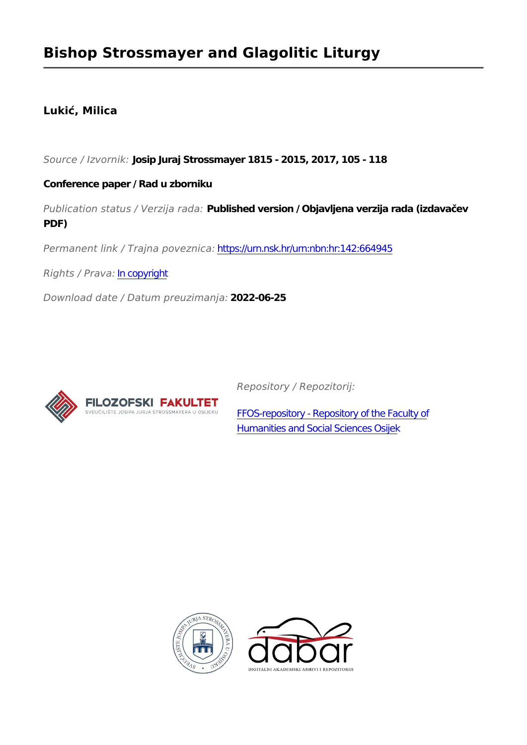## **Bishop Strossmayer and Glagolitic Liturgy**

### **Lukić, Milica**

*Source / Izvornik:* **Josip Juraj Strossmayer 1815 - 2015, 2017, 105 - 118**

#### **Conference paper / Rad u zborniku**

*Publication status / Verzija rada:* **Published version / Objavljena verzija rada (izdavačev PDF)**

*Permanent link / Trajna poveznica:* <https://urn.nsk.hr/urn:nbn:hr:142:664945>

*Rights / Prava:* [In copyright](http://rightsstatements.org/vocab/InC/1.0/)

*Download date / Datum preuzimanja:* **2022-06-25**



*Repository / Repozitorij:*

[FFOS-repository - Repository of the Faculty of](https://repozitorij.ffos.hr) [Humanities and Social Sciences Osijek](https://repozitorij.ffos.hr)



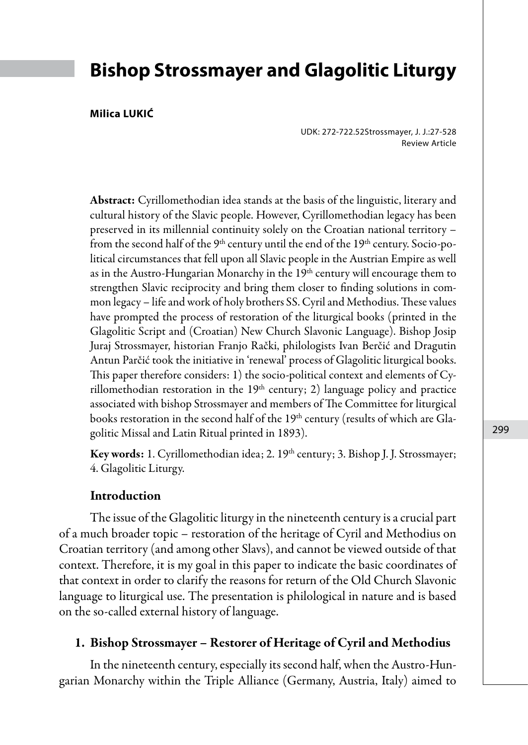## **Bishop Strossmayer and Glagolitic Liturgy**

#### **Milica LUKIĆ**

UDK: 272-722.52Strossmayer, J. J.:27-528 Review Article

Abstract: Cyrillomethodian idea stands at the basis of the linguistic, literary and cultural history of the Slavic people. However, Cyrillomethodian legacy has been preserved in its millennial continuity solely on the Croatian national territory – from the second half of the  $9<sup>th</sup>$  century until the end of the  $19<sup>th</sup>$  century. Socio-political circumstances that fell upon all Slavic people in the Austrian Empire as well as in the Austro-Hungarian Monarchy in the 19<sup>th</sup> century will encourage them to strengthen Slavic reciprocity and bring them closer to finding solutions in common legacy – life and work of holy brothers SS. Cyril and Methodius. These values have prompted the process of restoration of the liturgical books (printed in the Glagolitic Script and (Croatian) New Church Slavonic Language). Bishop Josip Juraj Strossmayer, historian Franjo Rački, philologists Ivan Berčić and Dragutin Antun Parčić took the initiative in 'renewal' process of Glagolitic liturgical books. This paper therefore considers: 1) the socio-political context and elements of Cyrillomethodian restoration in the  $19<sup>th</sup>$  century; 2) language policy and practice associated with bishop Strossmayer and members of The Committee for liturgical books restoration in the second half of the  $19<sup>th</sup>$  century (results of which are Glagolitic Missal and Latin Ritual printed in 1893).

Key words: 1. Cyrillomethodian idea; 2. 19<sup>th</sup> century; 3. Bishop J. J. Strossmayer; 4. Glagolitic Liturgy.

#### Introduction

The issue of the Glagolitic liturgy in the nineteenth century is a crucial part of a much broader topic – restoration of the heritage of Cyril and Methodius on Croatian territory (and among other Slavs), and cannot be viewed outside of that context. Therefore, it is my goal in this paper to indicate the basic coordinates of that context in order to clarify the reasons for return of the Old Church Slavonic language to liturgical use. The presentation is philological in nature and is based on the so-called external history of language.

#### 1. Bishop Strossmayer – Restorer of Heritage of Cyril and Methodius

In the nineteenth century, especially its second half, when the Austro-Hungarian Monarchy within the Triple Alliance (Germany, Austria, Italy) aimed to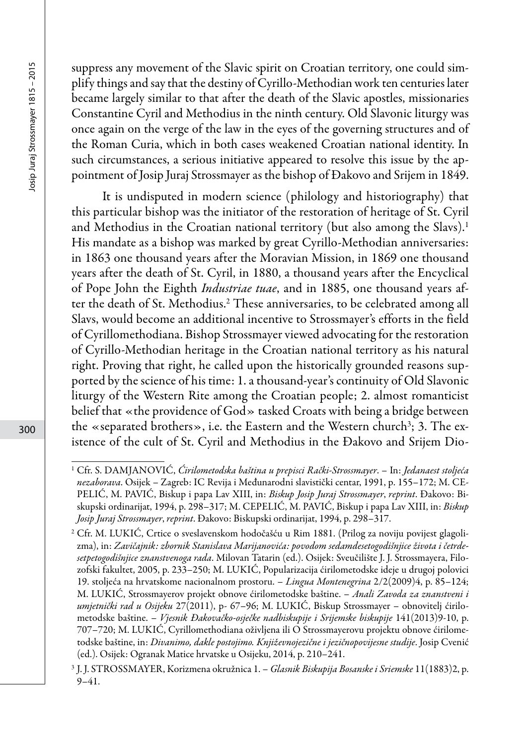suppress any movement of the Slavic spirit on Croatian territory, one could simplify things and say that the destiny of Cyrillo-Methodian work ten centuries later became largely similar to that after the death of the Slavic apostles, missionaries Constantine Cyril and Methodius in the ninth century. Old Slavonic liturgy was once again on the verge of the law in the eyes of the governing structures and of the Roman Curia, which in both cases weakened Croatian national identity. In such circumstances, a serious initiative appeared to resolve this issue by the appointment of Josip Juraj Strossmayer as the bishop of Đakovo and Srijem in 1849.

It is undisputed in modern science (philology and historiography) that this particular bishop was the initiator of the restoration of heritage of St. Cyril and Methodius in the Croatian national territory (but also among the Slavs).<sup>1</sup> His mandate as a bishop was marked by great Cyrillo-Methodian anniversaries: in 1863 one thousand years after the Moravian Mission, in 1869 one thousand years after the death of St. Cyril, in 1880, a thousand years after the Encyclical of Pope John the Eighth *Industriae tuae*, and in 1885, one thousand years after the death of St. Methodius.2 These anniversaries, to be celebrated among all Slavs, would become an additional incentive to Strossmayer's efforts in the field of Cyrillomethodiana. Bishop Strossmayer viewed advocating for the restoration of Cyrillo-Methodian heritage in the Croatian national territory as his natural right. Proving that right, he called upon the historically grounded reasons supported by the science of his time: 1. a thousand-year's continuity of Old Slavonic liturgy of the Western Rite among the Croatian people; 2. almost romanticist belief that «the providence of God» tasked Croats with being a bridge between the «separated brothers», i.e. the Eastern and the Western church $^3$ ; 3. The existence of the cult of St. Cyril and Methodius in the Đakovo and Srijem Dio-

<sup>1</sup> Cfr. S. DAMJANOVIĆ, *Ćirilometodska baština u prepisci Rački-Strossmayer*. – In: *Jedanaest stoljeća nezaborava*. Osijek – Zagreb: IC Revija i Međunarodni slavistički centar, 1991, p. 155–172; M. CE-PELIĆ, M. PAVIĆ, Biskup i papa Lav XIII, in: *Biskup Josip Juraj Strossmayer*, *reprint*. Đakovo: Biskupski ordinarijat, 1994, p. 298–317; M. CEPELIĆ, M. PAVIĆ, Biskup i papa Lav XIII, in: *Biskup Josip Juraj Strossmayer*, *reprint*. Đakovo: Biskupski ordinarijat, 1994, p. 298–317.

<sup>2</sup> Cfr. M. LUKIĆ, Crtice o sveslavenskom hodočašću u Rim 1881. (Prilog za noviju povijest glagolizma), in: *Zavičajnik: zbornik Stanislava Marijanovića: povodom sedamdesetogodišnjice života i četrdesetpetogodišnjice znanstvenoga rada*. Milovan Tatarin (ed.). Osijek: Sveučilište J. J. Strossmayera, Filozofski fakultet, 2005, p. 233–250; M. LUKIĆ, Popularizacija ćirilometodske ideje u drugoj polovici 19. stoljeća na hrvatskome nacionalnom prostoru. – *Lingua Montenegrina* 2/2(2009)4, p. 85–124; M. LUKIĆ, Strossmayerov projekt obnove ćirilometodske baštine. – *Anali Zavoda za znanstveni i umjetnički rad u Osijeku* 27(2011), p- 67–96; M. LUKIĆ, Biskup Strossmayer – obnovitelj ćirilometodske baštine. – *Vjesnik Đakovačko-osječke nadbiskupije i Srijemske biskupije* 141(2013)9-10, p. 707–720; M. LUKIĆ, Cyrillomethodiana oživljena ili O Strossmayerovu projektu obnove ćirilometodske baštine, in: *Divanimo, dakle postojimo. Književnojezične i jezičnopovijesne studije*. Josip Cvenić (ed.). Osijek: Ogranak Matice hrvatske u Osijeku, 2014, p. 210*–*241.

<sup>3</sup> J. J. STROSSMAYER, Korizmena okružnica 1. – *Glasnik Biskupija Bosanske i Sriemske* 11(1883)2, p. 9–41.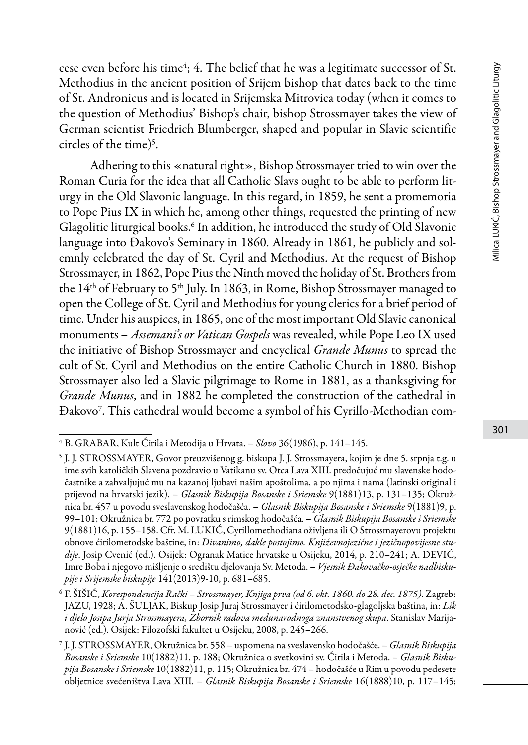cese even before his time<sup>4</sup>; 4. The belief that he was a legitimate successor of St. Methodius in the ancient position of Srijem bishop that dates back to the time of St. Andronicus and is located in Srijemska Mitrovica today (when it comes to the question of Methodius' Bishop's chair, bishop Strossmayer takes the view of German scientist Friedrich Blumberger, shaped and popular in Slavic scientific circles of the time)<sup>5</sup>.

Adhering to this «natural right», Bishop Strossmayer tried to win over the Roman Curia for the idea that all Catholic Slavs ought to be able to perform liturgy in the Old Slavonic language. In this regard, in 1859, he sent a promemoria to Pope Pius IX in which he, among other things, requested the printing of new Glagolitic liturgical books.6 In addition, he introduced the study of Old Slavonic language into Đakovo's Seminary in 1860. Already in 1861, he publicly and solemnly celebrated the day of St. Cyril and Methodius. At the request of Bishop Strossmayer, in 1862, Pope Pius the Ninth moved the holiday of St. Brothers from the 14<sup>th</sup> of February to 5<sup>th</sup> July. In 1863, in Rome, Bishop Strossmayer managed to open the College of St. Cyril and Methodius for young clerics for a brief period of time. Under his auspices, in 1865, one of the most important Old Slavic canonical monuments – *Assemani's or Vatican Gospels* was revealed, while Pope Leo IX used the initiative of Bishop Strossmayer and encyclical *Grande Munus* to spread the cult of St. Cyril and Methodius on the entire Catholic Church in 1880. Bishop Strossmayer also led a Slavic pilgrimage to Rome in 1881, as a thanksgiving for *Grande Munus*, and in 1882 he completed the construction of the cathedral in Đakovo7 . This cathedral would become a symbol of his Cyrillo-Methodian com-

<sup>4</sup> B. GRABAR, Kult Ćirila i Metodija u Hrvata. – *Slovo* 36(1986), p. 141–145.

<sup>5</sup> J. J. STROSSMAYER, Govor preuzvišenog g. biskupa J. J. Strossmayera, kojim je dne 5. srpnja t.g. u ime svih katoličkih Slavena pozdravio u Vatikanu sv. Otca Lava XIII. predočujuć mu slavenske hodočastnike a zahvaljujuć mu na kazanoj ljubavi našim apoštolima, a po njima i nama (latinski original i prijevod na hrvatski jezik). – *Glasnik Biskupija Bosanske i Sriemske* 9(1881)13, p. 131–135; Okružnica br. 457 u povodu sveslavenskog hodočašća. – *Glasnik Biskupija Bosanske i Sriemske* 9(1881)9, p. 99–101; Okružnica br. 772 po povratku s rimskog hodočašća. – *Glasnik Biskupija Bosanske i Sriemske* 9(1881)16, p. 155–158. Cfr. M. LUKIĆ, Cyrillomethodiana oživljena ili O Strossmayerovu projektu obnove ćirilometodske baštine, in: *Divanimo, dakle postojimo. Književnojezične i jezičnopovijesne studije*. Josip Cvenić (ed.). Osijek: Ogranak Matice hrvatske u Osijeku, 2014, p. 210*–*241; A. DEVIĆ, Imre Boba i njegovo mišljenje o središtu djelovanja Sv. Metoda. – *Vjesnik Đakovačko-osječke nadbiskupije i Srijemske biskupije* 141(2013)9-10, p. 681–685.

<sup>6</sup> F. ŠIŠIĆ, *Korespondencija Rački – Strossmayer, Knjiga prva (od 6. okt. 1860. do 28. dec. 1875)*. Zagreb: JAZU, 1928; A. ŠULJAK, Biskup Josip Juraj Strossmayer i ćirilometodsko-glagoljska baština, in: *Lik i djelo Josipa Jurja Strossmayera, Zbornik radova međunarodnoga znanstvenog skupa*. Stanislav Marijanović (ed.). Osijek: Filozofski fakultet u Osijeku, 2008, p. 245–266.

<sup>7</sup> J. J. STROSSMAYER, Okružnica br. 558 – uspomena na sveslavensko hodočašće. – *Glasnik Biskupija Bosanske i Sriemske* 10(1882)11, p. 188; Okružnica o svetkovini sv. Ćirila i Metoda. – *Glasnik Biskupija Bosanske i Sriemske* 10(1882)11, p. 115; Okružnica br. 474 – hodočašće u Rim u povodu pedesete obljetnice svećeništva Lava XIII. – *Glasnik Biskupija Bosanske i Sriemske* 16(1888)10, p. 117–145;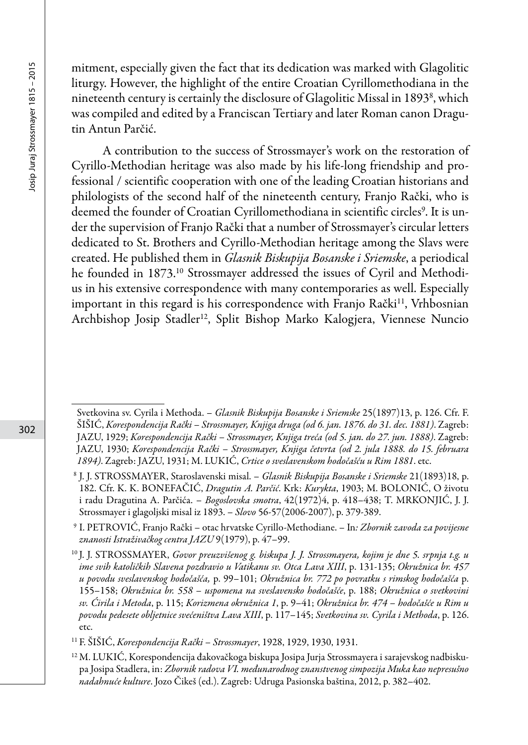mitment, especially given the fact that its dedication was marked with Glagolitic liturgy. However, the highlight of the entire Croatian Cyrillomethodiana in the nineteenth century is certainly the disclosure of Glagolitic Missal in 1893<sup>8</sup>, which was compiled and edited by a Franciscan Tertiary and later Roman canon Dragutin Antun Parčić.

A contribution to the success of Strossmayer's work on the restoration of Cyrillo-Methodian heritage was also made by his life-long friendship and professional / scientific cooperation with one of the leading Croatian historians and philologists of the second half of the nineteenth century, Franjo Rački, who is deemed the founder of Croatian Cyrillomethodiana in scientific circles<sup>9</sup>. It is under the supervision of Franjo Rački that a number of Strossmayer's circular letters dedicated to St. Brothers and Cyrillo-Methodian heritage among the Slavs were created. He published them in *Glasnik Biskupija Bosanske i Sriemske*, a periodical he founded in 1873.<sup>10</sup> Strossmayer addressed the issues of Cyril and Methodius in his extensive correspondence with many contemporaries as well. Especially important in this regard is his correspondence with Franjo Rački<sup>11</sup>, Vrhbosnian Archbishop Josip Stadler<sup>12</sup>, Split Bishop Marko Kalogjera, Viennese Nuncio

Svetkovina sv. Cyrila i Methoda. – *Glasnik Biskupija Bosanske i Sriemske* 25(1897)13, p. 126. Cfr. F. ŠIŠIĆ, *Korespondencija Rački – Strossmayer, Knjiga druga (od 6. jan. 1876. do 31. dec. 1881)*. Zagreb: JAZU, 1929; *Korespondencija Rački – Strossmayer, Knjiga treća (od 5. jan. do 27. jun. 1888)*. Zagreb: JAZU, 1930; *Korespondencija Rački – Strossmayer, Knjiga četvrta (od 2. jula 1888. do 15. februara 1894)*. Zagreb: JAZU, 1931; M. LUKIĆ, *Crtice o sveslavenskom hodočašću u Rim 1881*. etc.

<sup>8</sup> J. J. STROSSMAYER, Staroslavenski misal. – *Glasnik Biskupija Bosanske i Sriemske* 21(1893)18, p. 182. Cfr. K. K. BONEFAČIĆ, *Dragutin A. Parčić*. Krk: *Kurykta*, 1903; M. BOLONIĆ, O životu i radu Dragutina A. Parčića. – *Bogoslovska smotra*, 42(1972)4, p. 418–438; T. MRKONJIĆ, J. J. Strossmayer i glagoljski misal iz 1893. – *Slovo* 56-57(2006-2007), p. 379-389.

<sup>9</sup> I. PETROVIĆ, Franjo Rački – otac hrvatske Cyrillo-Methodiane. – In*: Zbornik zavoda za povijesne znanosti Istraživačkog centra JAZU* 9(1979), p. 47–99.

<sup>10</sup> J. J. STROSSMAYER, *Govor preuzvišenog g. biskupa J. J. Strossmayera, kojim je dne 5. srpnja t.g. u ime svih katoličkih Slavena pozdravio u Vatikanu sv. Otca Lava XIII*, p. 131-135; *Okružnica br. 457 u povodu sveslavenskog hodočašća,* p. 99–101; *Okružnica br. 772 po povratku s rimskog hodočašća* p. 155–158; *Okružnica br. 558 – uspomena na sveslavensko hodočašće*, p. 188; *Okružnica o svetkovini sv. Ćirila i Metoda*, p. 115; *Korizmena okružnica 1*, p. 9–41; *Okružnica br. 474 – hodočašće u Rim u povodu pedesete obljetnice svećeništva Lava XIII*, p. 117–145; *Svetkovina sv. Cyrila i Methoda*, p. 126. etc.

<sup>11</sup> F. ŠIŠIĆ, *Korespondencija Rački – Strossmayer*, 1928, 1929, 1930, 1931.

<sup>12</sup> M. LUKIĆ, Korespondencija đakovačkoga biskupa Josipa Jurja Strossmayera i sarajevskog nadbiskupa Josipa Stadlera, in: *Zbornik radova VI. međunarodnog znanstvenog simpozija Muka kao nepresušno nadahnuće kulture*. Jozo Čikeš (ed.). Zagreb: Udruga Pasionska baština, 2012, p. 382–402.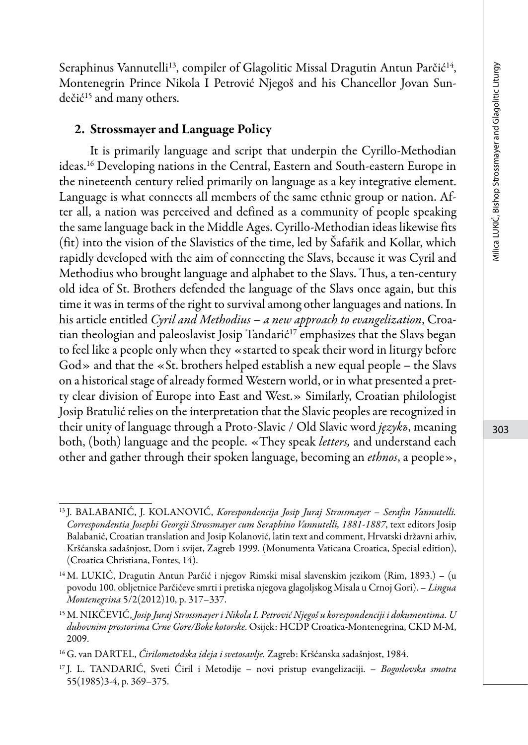Seraphinus Vannutelli<sup>13</sup>, compiler of Glagolitic Missal Dragutin Antun Parčić<sup>14</sup>, Montenegrin Prince Nikola I Petrović Njegoš and his Chancellor Jovan Sundečić15 and many others.

#### 2. Strossmayer and Language Policy

It is primarily language and script that underpin the Cyrillo-Methodian ideas.16 Developing nations in the Central, Eastern and South-eastern Europe in the nineteenth century relied primarily on language as a key integrative element. Language is what connects all members of the same ethnic group or nation. After all, a nation was perceived and defined as a community of people speaking the same language back in the Middle Ages. Cyrillo-Methodian ideas likewise fits (fit) into the vision of the Slavistics of the time, led by Šafařik and Kollar, which rapidly developed with the aim of connecting the Slavs, because it was Cyril and Methodius who brought language and alphabet to the Slavs. Thus, a ten-century old idea of St. Brothers defended the language of the Slavs once again, but this time it was in terms of the right to survival among other languages and nations. In his article entitled *Cyril and Methodius – a new approach to evangelization*, Croatian theologian and paleoslavist Josip Tandarić<sup>17</sup> emphasizes that the Slavs began to feel like a people only when they «started to speak their word in liturgy before God» and that the «St. brothers helped establish a new equal people – the Slavs on a historical stage of already formed Western world, or in what presented a pretty clear division of Europe into East and West.» Similarly, Croatian philologist Josip Bratulić relies on the interpretation that the Slavic peoples are recognized in their unity of language through a Proto-Slavic / Old Slavic word *językъ*, meaning both, (both) language and the people. «They speak *letters,* and understand each other and gather through their spoken language, becoming an *ethnos*, a people»,

<sup>13</sup> J. BALABANIĆ, J. KOLANOVIĆ, *Korespondencija Josip Juraj Strossmayer – Serafin Vannutelli. Correspondentia Josephi Georgii Strossmayer cum Seraphino Vannutelli, 1881-1887*, text editors Josip Balabanić, Croatian translation and Josip Kolanović, latin text and comment, Hrvatski državni arhiv, Kršćanska sadašnjost, Dom i svijet, Zagreb 1999. (Monumenta Vaticana Croatica, Special edition), (Croatica Christiana, Fontes, 14).

<sup>14</sup> M. LUKIĆ, Dragutin Antun Parčić i njegov Rimski misal slavenskim jezikom (Rim, 1893.) – (u povodu 100. obljetnice Parčićeve smrti i pretiska njegova glagoljskog Misala u Crnoj Gori). *– Lingua Montenegrina* 5/2(2012)10, p. 317–337.

<sup>15</sup> M. NIKČEVIĆ, *Josip Juraj Strossmayer i Nikola I. Petrović Njegoš u korespondenciji i dokumentima. U duhovnim prostorima Crne Gore/Boke kotorske*. Osijek: HCDP Croatica-Montenegrina, CKD M-M, 2009.

<sup>16</sup> G. van DARTEL, *Ćirilometodska ideja i svetosavlje.* Zagreb: Kršćanska sadašnjost, 1984.

<sup>17</sup> J. L. TANDARIĆ, Sveti Ćiril i Metodije – novi pristup evangelizaciji. – *Bogoslovska smotra* 55(1985)3-4, p. 369–375.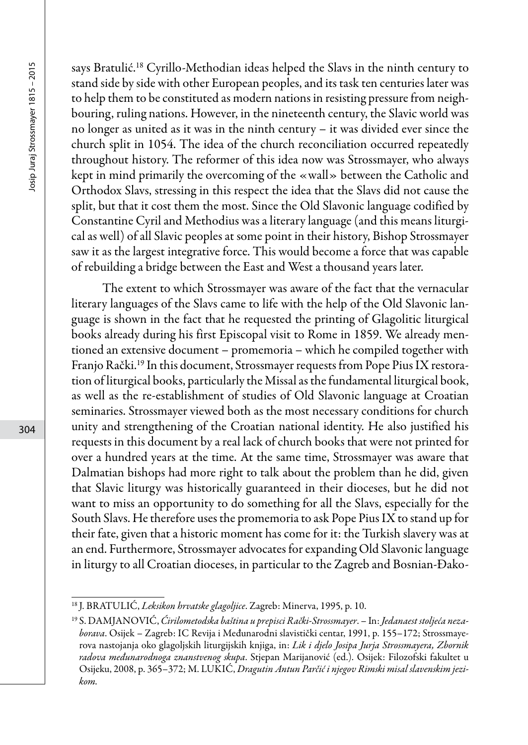says Bratulić.18 Cyrillo-Methodian ideas helped the Slavs in the ninth century to stand side by side with other European peoples, and its task ten centuries later was to help them to be constituted as modern nations in resisting pressure from neighbouring, ruling nations. However, in the nineteenth century, the Slavic world was no longer as united as it was in the ninth century – it was divided ever since the church split in 1054. The idea of the church reconciliation occurred repeatedly throughout history. The reformer of this idea now was Strossmayer, who always kept in mind primarily the overcoming of the «wall» between the Catholic and Orthodox Slavs, stressing in this respect the idea that the Slavs did not cause the split, but that it cost them the most. Since the Old Slavonic language codified by Constantine Cyril and Methodius was a literary language (and this means liturgical as well) of all Slavic peoples at some point in their history, Bishop Strossmayer saw it as the largest integrative force. This would become a force that was capable of rebuilding a bridge between the East and West a thousand years later.

The extent to which Strossmayer was aware of the fact that the vernacular literary languages of the Slavs came to life with the help of the Old Slavonic language is shown in the fact that he requested the printing of Glagolitic liturgical books already during his first Episcopal visit to Rome in 1859. We already mentioned an extensive document – promemoria – which he compiled together with Franjo Rački.19 In this document, Strossmayer requests from Pope Pius IX restoration of liturgical books, particularly the Missal as the fundamental liturgical book, as well as the re-establishment of studies of Old Slavonic language at Croatian seminaries. Strossmayer viewed both as the most necessary conditions for church unity and strengthening of the Croatian national identity. He also justified his requests in this document by a real lack of church books that were not printed for over a hundred years at the time. At the same time, Strossmayer was aware that Dalmatian bishops had more right to talk about the problem than he did, given that Slavic liturgy was historically guaranteed in their dioceses, but he did not want to miss an opportunity to do something for all the Slavs, especially for the South Slavs. He therefore uses the promemoria to ask Pope Pius IX to stand up for their fate, given that a historic moment has come for it: the Turkish slavery was at an end. Furthermore, Strossmayer advocates for expanding Old Slavonic language in liturgy to all Croatian dioceses, in particular to the Zagreb and Bosnian-Đako-

<sup>18</sup> J. BRATULIĆ, *Leksikon hrvatske glagoljice*. Zagreb: Minerva, 1995, p. 10.

<sup>19</sup> S. DAMJANOVIĆ, *Ćirilometodska baština u prepisci Rački-Strossmayer*. – In: *Jedanaest stoljeća nezaborava*. Osijek – Zagreb: IC Revija i Međunarodni slavistički centar, 1991, p. 155–172; Strossmayerova nastojanja oko glagoljskih liturgijskih knjiga, in: *Lik i djelo Josipa Jurja Strossmayera, Zbornik radova međunarodnoga znanstvenog skupa*. Stjepan Marijanović (ed.). Osijek: Filozofski fakultet u Osijeku, 2008, p. 365–372; M. LUKIĆ, *Dragutin Antun Parčić i njegov Rimski misal slavenskim jezikom.*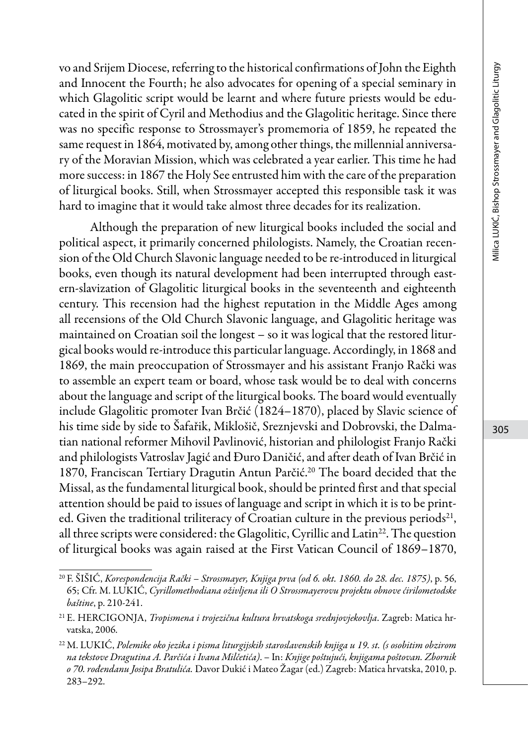vo and Srijem Diocese, referring to the historical confirmations of John the Eighth and Innocent the Fourth; he also advocates for opening of a special seminary in which Glagolitic script would be learnt and where future priests would be educated in the spirit of Cyril and Methodius and the Glagolitic heritage. Since there was no specific response to Strossmayer's promemoria of 1859, he repeated the same request in 1864, motivated by, among other things, the millennial anniversary of the Moravian Mission, which was celebrated a year earlier. This time he had more success: in 1867 the Holy See entrusted him with the care of the preparation of liturgical books. Still, when Strossmayer accepted this responsible task it was hard to imagine that it would take almost three decades for its realization.

Although the preparation of new liturgical books included the social and political aspect, it primarily concerned philologists. Namely, the Croatian recension of the Old Church Slavonic language needed to be re-introduced in liturgical books, even though its natural development had been interrupted through eastern-slavization of Glagolitic liturgical books in the seventeenth and eighteenth century. This recension had the highest reputation in the Middle Ages among all recensions of the Old Church Slavonic language, and Glagolitic heritage was maintained on Croatian soil the longest – so it was logical that the restored liturgical books would re-introduce this particular language. Accordingly, in 1868 and 1869, the main preoccupation of Strossmayer and his assistant Franjo Rački was to assemble an expert team or board, whose task would be to deal with concerns about the language and script of the liturgical books. The board would eventually include Glagolitic promoter Ivan Brčić (1824–1870), placed by Slavic science of his time side by side to Šafařik, Miklošič, Sreznjevski and Dobrovski, the Dalmatian national reformer Mihovil Pavlinović, historian and philologist Franjo Rački and philologists Vatroslav Jagić and Đuro Daničić, and after death of Ivan Brčić in 1870, Franciscan Tertiary Dragutin Antun Parčić.20 The board decided that the Missal, as the fundamental liturgical book, should be printed first and that special attention should be paid to issues of language and script in which it is to be printed. Given the traditional triliteracy of Croatian culture in the previous periods<sup>21</sup>, all three scripts were considered: the Glagolitic, Cyrillic and Latin<sup>22</sup>. The question of liturgical books was again raised at the First Vatican Council of 1869–1870,

<sup>20</sup> F. ŠIŠIĆ, *Korespondencija Rački – Strossmayer, Knjiga prva (od 6. okt. 1860. do 28. dec. 1875)*, p. 56, 65; Cfr. M. LUKIĆ, *Cyrillomethodiana oživljena ili O Strossmayerovu projektu obnove ćirilometodske baštine*, p. 210-241.

<sup>21</sup> E. HERCIGONJA, *Tropismena i trojezična kultura hrvatskoga srednjovjekovlja*. Zagreb: Matica hrvatska, 2006.

<sup>22</sup> M. LUKIĆ, *Polemike oko jezika i pisma liturgijskih staroslavenskih knjiga u 19. st. (s osobitim obzirom na tekstove Dragutina A. Parčića i Ivana Milčetića)*. – In: *Knjige poštujući, knjigama poštovan. Zbornik o 70. rođendanu Josipa Bratulića.* Davor Dukić i Mateo Žagar (ed.) Zagreb: Matica hrvatska, 2010, p. 283*–*292.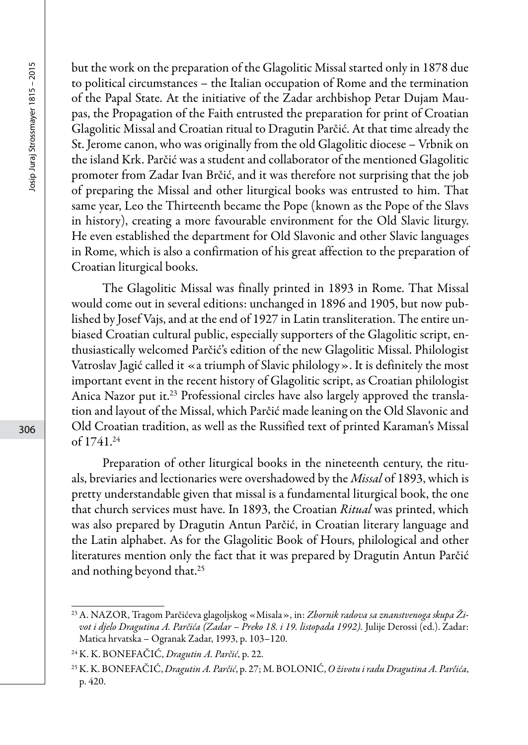but the work on the preparation of the Glagolitic Missal started only in 1878 due to political circumstances – the Italian occupation of Rome and the termination of the Papal State. At the initiative of the Zadar archbishop Petar Dujam Maupas, the Propagation of the Faith entrusted the preparation for print of Croatian Glagolitic Missal and Croatian ritual to Dragutin Parčić. At that time already the St. Jerome canon, who was originally from the old Glagolitic diocese – Vrbnik on the island Krk. Parčić was a student and collaborator of the mentioned Glagolitic promoter from Zadar Ivan Brčić, and it was therefore not surprising that the job of preparing the Missal and other liturgical books was entrusted to him. That same year, Leo the Thirteenth became the Pope (known as the Pope of the Slavs in history), creating a more favourable environment for the Old Slavic liturgy. He even established the department for Old Slavonic and other Slavic languages in Rome, which is also a confirmation of his great affection to the preparation of Croatian liturgical books.

The Glagolitic Missal was finally printed in 1893 in Rome. That Missal would come out in several editions: unchanged in 1896 and 1905, but now published by Josef Vajs, and at the end of 1927 in Latin transliteration. The entire unbiased Croatian cultural public, especially supporters of the Glagolitic script, enthusiastically welcomed Parčić's edition of the new Glagolitic Missal. Philologist Vatroslav Jagić called it «a triumph of Slavic philology». It is definitely the most important event in the recent history of Glagolitic script, as Croatian philologist Anica Nazor put it.<sup>23</sup> Professional circles have also largely approved the translation and layout of the Missal, which Parčić made leaning on the Old Slavonic and Old Croatian tradition, as well as the Russified text of printed Karaman's Missal of 1741.24

Preparation of other liturgical books in the nineteenth century, the rituals, breviaries and lectionaries were overshadowed by the *Missal* of 1893, which is pretty understandable given that missal is a fundamental liturgical book, the one that church services must have. In 1893, the Croatian *Ritual* was printed, which was also prepared by Dragutin Antun Parčić, in Croatian literary language and the Latin alphabet. As for the Glagolitic Book of Hours, philological and other literatures mention only the fact that it was prepared by Dragutin Antun Parčić and nothing beyond that.25

<sup>23</sup>A. NAZOR, Tragom Parčićeva glagoljskog «Misala», in: *Zbornik radova sa znanstvenoga skupa Ži*vot i djelo Dragutina A. Parčića (Zadar - Preko 18. i 19. listopada 1992). Julije Derossi (ed.). Zadar: Matica hrvatska – Ogranak Zadar, 1993, p. 103–120.

<sup>24</sup>K. K. BONEFAČIĆ, *Dragutin A. Parčić*, p. 22.

<sup>25</sup>K. K. BONEFAČIĆ, *Dragutin A. Parčić*, p. 27; M. BOLONIĆ, *O životu i radu Dragutina A. Parčića*, p. 420.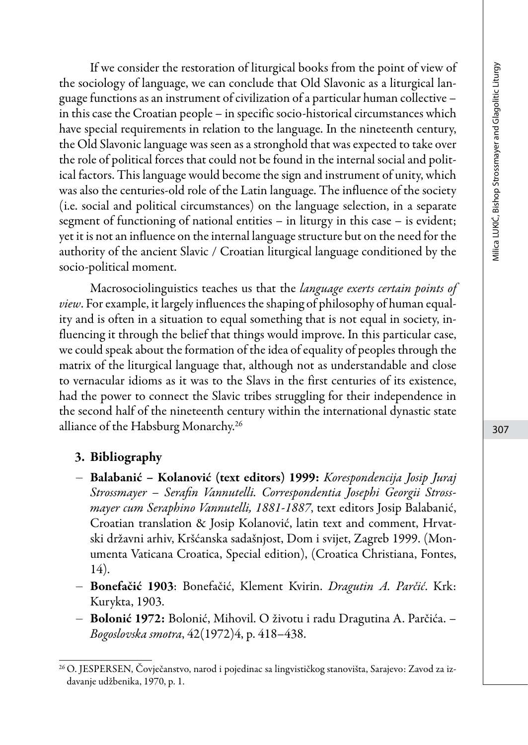If we consider the restoration of liturgical books from the point of view of the sociology of language, we can conclude that Old Slavonic as a liturgical language functions as an instrument of civilization of a particular human collective – in this case the Croatian people – in specific socio-historical circumstances which have special requirements in relation to the language. In the nineteenth century, the Old Slavonic language was seen as a stronghold that was expected to take over the role of political forces that could not be found in the internal social and political factors. This language would become the sign and instrument of unity, which was also the centuries-old role of the Latin language. The influence of the society (i.e. social and political circumstances) on the language selection, in a separate segment of functioning of national entities – in liturgy in this case – is evident; yet it is not an influence on the internal language structure but on the need for the authority of the ancient Slavic / Croatian liturgical language conditioned by the socio-political moment.

Macrosociolinguistics teaches us that the *language exerts certain points of view*. For example, it largely influences the shaping of philosophy of human equality and is often in a situation to equal something that is not equal in society, influencing it through the belief that things would improve. In this particular case, we could speak about the formation of the idea of equality of peoples through the matrix of the liturgical language that, although not as understandable and close to vernacular idioms as it was to the Slavs in the first centuries of its existence, had the power to connect the Slavic tribes struggling for their independence in the second half of the nineteenth century within the international dynastic state alliance of the Habsburg Monarchy.26

#### 3. Bibliography

- Balabanić Kolanović (text editors) 1999: *Korespondencija Josip Juraj Strossmayer – Serafin Vannutelli. Correspondentia Josephi Georgii Strossmayer cum Seraphino Vannutelli, 1881-1887*, text editors Josip Balabanić, Croatian translation & Josip Kolanović, latin text and comment, Hrvatski državni arhiv, Kršćanska sadašnjost, Dom i svijet, Zagreb 1999. (Monumenta Vaticana Croatica, Special edition), (Croatica Christiana, Fontes, 14).
- Bonefačić 1903: Bonefačić, Klement Kvirin. *Dragutin A. Parčić*. Krk: Kurykta, 1903.
- Bolonić 1972: Bolonić, Mihovil. O životu i radu Dragutina A. Parčića. *Bogoslovska smotra*, 42(1972)4, p. 418–438.

<sup>26</sup> O. JESPERSEN, Čovječanstvo, narod i pojedinac sa lingvističkog stanovišta, Sarajevo: Zavod za izdavanje udžbenika, 1970, p. 1.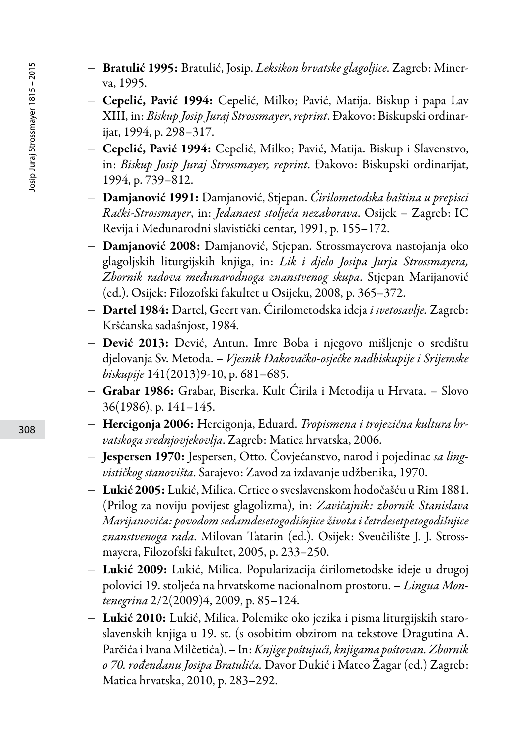- Bratulić 1995: Bratulić, Josip. *Leksikon hrvatske glagoljice*. Zagreb: Minerva, 1995.
- Cepelić, Pavić 1994: Cepelić, Milko; Pavić, Matija. Biskup i papa Lav XIII, in: *Biskup Josip Juraj Strossmayer*, *reprint*. Đakovo: Biskupski ordinarijat, 1994, p. 298–317.
- Cepelić, Pavić 1994: Cepelić, Milko; Pavić, Matija. Biskup i Slavenstvo, in: *Biskup Josip Juraj Strossmayer, reprint*. Đakovo: Biskupski ordinarijat, 1994, p. 739–812.
- Damjanović 1991: Damjanović, Stjepan. *Ćirilometodska baština u prepisci Rački-Strossmayer*, in: *Jedanaest stoljeća nezaborava*. Osijek – Zagreb: IC Revija i Međunarodni slavistički centar, 1991, p. 155–172.
- Damjanović 2008: Damjanović, Stjepan. Strossmayerova nastojanja oko glagoljskih liturgijskih knjiga, in: *Lik i djelo Josipa Jurja Strossmayera, Zbornik radova međunarodnoga znanstvenog skupa*. Stjepan Marijanović (ed.). Osijek: Filozofski fakultet u Osijeku, 2008, p. 365–372.
- Dartel 1984: Dartel, Geert van. Ćirilometodska ideja *i svetosavlje.* Zagreb: Kršćanska sadašnjost, 1984.
- Dević 2013: Dević, Antun. Imre Boba i njegovo mišljenje o središtu djelovanja Sv. Metoda. – *Vjesnik Đakovačko-osječke nadbiskupije i Srijemske biskupije* 141(2013)9-10, p. 681–685.
- Grabar 1986: Grabar, Biserka. Kult Ćirila i Metodija u Hrvata. Slovo 36(1986), p. 141–145.
- Hercigonja 2006: Hercigonja, Eduard. *Tropismena i trojezična kultura hrvatskoga srednjovjekovlja*. Zagreb: Matica hrvatska, 2006.
- Jespersen 1970: Jespersen, Otto. Čovječanstvo, narod i pojedinac *sa lingvističkog stanovišta*. Sarajevo: Zavod za izdavanje udžbenika, 1970.
- Lukić 2005: Lukić, Milica. Crtice o sveslavenskom hodočašću u Rim 1881. (Prilog za noviju povijest glagolizma), in: *Zavičajnik: zbornik Stanislava Marijanovića: povodom sedamdesetogodišnjice života i četrdesetpetogodišnjice znanstvenoga rada*. Milovan Tatarin (ed.). Osijek: Sveučilište J. J. Strossmayera, Filozofski fakultet, 2005, p. 233–250.
- Lukić 2009: Lukić, Milica. Popularizacija ćirilometodske ideje u drugoj polovici 19. stoljeća na hrvatskome nacionalnom prostoru. – *Lingua Montenegrina* 2/2(2009)4, 2009, p. 85–124.
- Lukić 2010: Lukić, Milica. Polemike oko jezika i pisma liturgijskih staroslavenskih knjiga u 19. st. (s osobitim obzirom na tekstove Dragutina A. Parčića i Ivana Milčetića). – In: *Knjige poštujući, knjigama poštovan. Zbornik o 70. rođendanu Josipa Bratulića.* Davor Dukić i Mateo Žagar (ed.) Zagreb: Matica hrvatska, 2010, p. 283*–*292.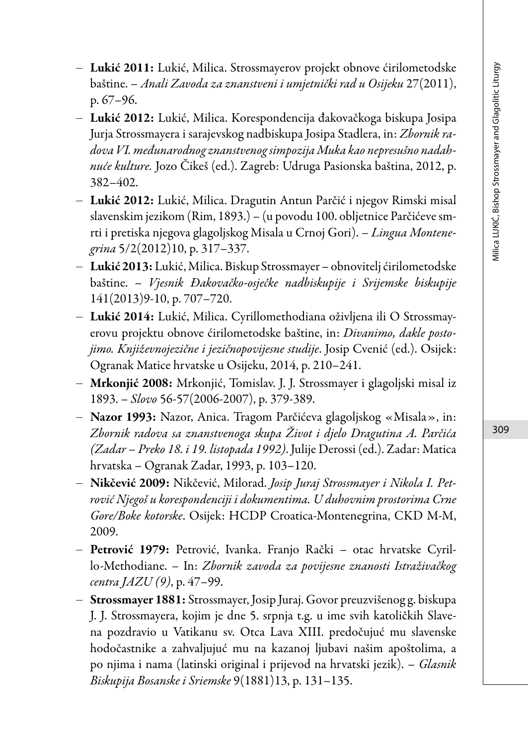- Lukić 2011: Lukić, Milica. Strossmayerov projekt obnove ćirilometodske baštine. – *Anali Zavoda za znanstveni i umjetnički rad u Osijeku* 27(2011), p. 67–96.
- Lukić 2012: Lukić, Milica. Korespondencija đakovačkoga biskupa Josipa Jurja Strossmayera i sarajevskog nadbiskupa Josipa Stadlera, in: *Zbornik radova VI. međunarodnog znanstvenog simpozija Muka kao nepresušno nadahnuće kulture.* Jozo Čikeš (ed.). Zagreb: Udruga Pasionska baština, 2012, p. 382–402.
- Lukić 2012: Lukić, Milica. Dragutin Antun Parčić i njegov Rimski misal slavenskim jezikom (Rim, 1893.) – (u povodu 100. obljetnice Parčićeve smrti i pretiska njegova glagoljskog Misala u Crnoj Gori). *– Lingua Montenegrina* 5/2(2012)10, p. 317–337.
- Lukić 2013: Lukić, Milica. Biskup Strossmayer obnovitelj ćirilometodske baštine. – *Vjesnik Đakovačko-osječke nadbiskupije i Srijemske biskupije* 141(2013)9-10, p. 707–720.
- Lukić 2014: Lukić, Milica. Cyrillomethodiana oživljena ili O Strossmayerovu projektu obnove ćirilometodske baštine, in: *Divanimo, dakle postojimo. Književnojezične i jezičnopovijesne studije*. Josip Cvenić (ed.). Osijek: Ogranak Matice hrvatske u Osijeku, 2014, p. 210*–*241.
- Mrkonjić 2008: Mrkonjić, Tomislav. J. J. Strossmayer i glagoljski misal iz 1893. – *Slovo* 56-57(2006-2007), p. 379-389.
- Nazor 1993: Nazor, Anica. Tragom Parčićeva glagoljskog «Misala», in: *Zbornik radova sa znanstvenoga skupa Život i djelo Dragutina A. Parčića (Zadar – Preko 18. i 19. listopada 1992)*. Julije Derossi (ed.). Zadar: Matica hrvatska – Ogranak Zadar, 1993, p. 103–120.
- Nikčević 2009: Nikčević, Milorad. *Josip Juraj Strossmayer i Nikola I. Petrović Njegoš u korespondenciji i dokumentima. U duhovnim prostorima Crne Gore/Boke kotorske*. Osijek: HCDP Croatica-Montenegrina, CKD M-M, 2009.
- Petrović 1979: Petrović, Ivanka. Franjo Rački otac hrvatske Cyrillo-Methodiane. – In: *Zbornik zavoda za povijesne znanosti Istraživačkog centra JAZU (9)*, p. 47–99.
- Strossmayer 1881: Strossmayer, Josip Juraj. Govor preuzvišenog g. biskupa J. J. Strossmayera, kojim je dne 5. srpnja t.g. u ime svih katoličkih Slavena pozdravio u Vatikanu sv. Otca Lava XIII. predočujuć mu slavenske hodočastnike a zahvaljujuć mu na kazanoj ljubavi našim apoštolima, a po njima i nama (latinski original i prijevod na hrvatski jezik). – *Glasnik Biskupija Bosanske i Sriemske* 9(1881)13, p. 131–135.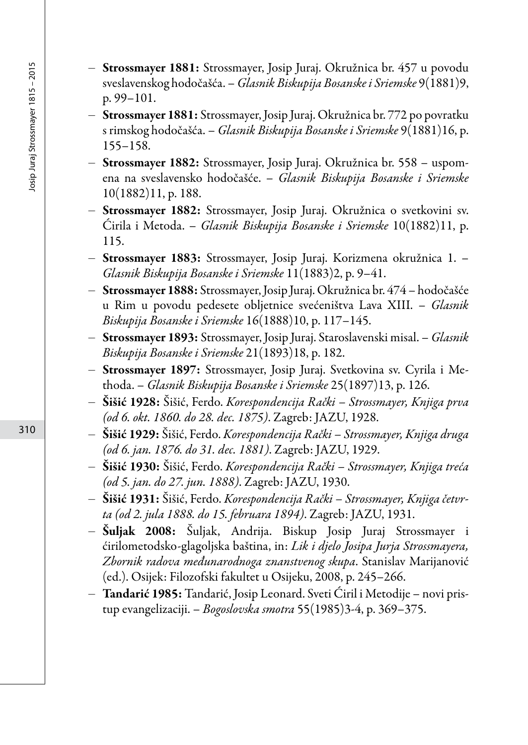- Strossmayer 1881: Strossmayer, Josip Juraj. Okružnica br. 457 u povodu sveslavenskog hodočašća. – *Glasnik Biskupija Bosanske i Sriemske* 9(1881)9, p. 99–101.
- Strossmayer 1881: Strossmayer, Josip Juraj. Okružnica br. 772 po povratku s rimskog hodočašća. – *Glasnik Biskupija Bosanske i Sriemske* 9(1881)16, p. 155–158.
- Strossmayer 1882: Strossmayer, Josip Juraj. Okružnica br. 558 uspomena na sveslavensko hodočašće. – *Glasnik Biskupija Bosanske i Sriemske* 10(1882)11, p. 188.
- Strossmayer 1882: Strossmayer, Josip Juraj. Okružnica o svetkovini sv. Ćirila i Metoda. – *Glasnik Biskupija Bosanske i Sriemske* 10(1882)11, p. 115.
- Strossmayer 1883: Strossmayer, Josip Juraj. Korizmena okružnica 1. *Glasnik Biskupija Bosanske i Sriemske* 11(1883)2, p. 9–41.
- Strossmayer 1888: Strossmayer, Josip Juraj. Okružnica br. 474 hodočašće u Rim u povodu pedesete obljetnice svećeništva Lava XIII. – *Glasnik Biskupija Bosanske i Sriemske* 16(1888)10, p. 117–145.
- Strossmayer 1893: Strossmayer, Josip Juraj. Staroslavenski misal. *Glasnik Biskupija Bosanske i Sriemske* 21(1893)18, p. 182.
- Strossmayer 1897: Strossmayer, Josip Juraj. Svetkovina sv. Cyrila i Methoda. – *Glasnik Biskupija Bosanske i Sriemske* 25(1897)13, p. 126.
- Šišić 1928: Šišić, Ferdo. *Korespondencija Rački Strossmayer, Knjiga prva (od 6. okt. 1860. do 28. dec. 1875)*. Zagreb: JAZU, 1928.
- Šišić 1929: Šišić, Ferdo. *Korespondencija Rački Strossmayer, Knjiga druga (od 6. jan. 1876. do 31. dec. 1881)*. Zagreb: JAZU, 1929.
- Šišić 1930: Šišić, Ferdo. *Korespondencija Rački Strossmayer, Knjiga treća (od 5. jan. do 27. jun. 1888)*. Zagreb: JAZU, 1930.
- Šišić 1931: Šišić, Ferdo. *Korespondencija Rački Strossmayer, Knjiga četvrta (od 2. jula 1888. do 15. februara 1894)*. Zagreb: JAZU, 1931.
- Šuljak 2008: Šuljak, Andrija. Biskup Josip Juraj Strossmayer i ćirilometodsko-glagoljska baština, in: *Lik i djelo Josipa Jurja Strossmayera, Zbornik radova međunarodnoga znanstvenog skupa*. Stanislav Marijanović (ed.). Osijek: Filozofski fakultet u Osijeku, 2008, p. 245–266.
- Tandarić 1985: Tandarić, Josip Leonard. Sveti Ćiril i Metodije novi pristup evangelizaciji. – *Bogoslovska smotra* 55(1985)3-4, p. 369–375.